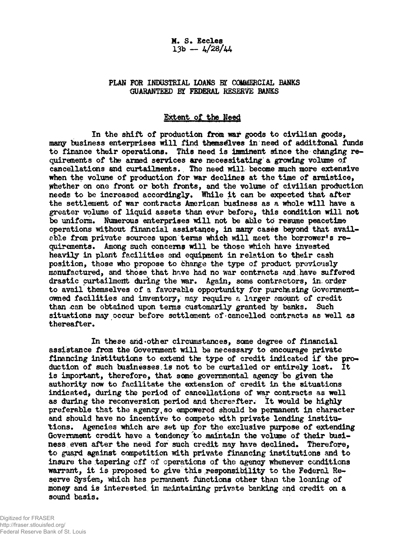**M. S. Eccles 13b — 4/28/44**

## **PLAN FOR INDUSTRIAL LOANS** *W* **COMMERCIAL BANKS** GUARANTEED BY FEDERAL RESERVE BANKS

## **Extent of the Need**

**In the shift of production from war goods to civilian good3, many business enterprises will find themselves in need of additional funds to finance their operaticans. This need is imminent since the changing requirements of the armed services are necessitating a growing volume of cancellations and curtailments. The need will become much more extensive when the volume of production for war declines at the time of armistice, Whether on one front or both fronts, and the volume of civilian production needs to be increased accordingly. While it can be expected that after the settlement of war contracts American business as a whole will have a greater volume of liquid assets than ever before, this condition will not be uniform. Numerous enterprises will not be able to resume peacetime operations without financial assistance, in many casés beyond that available from private sources upon terms which will meet the borrower's requirements. Among such concerns will be those which have invested** heavily in plant facilities and equipment in relation to their cash **position, those who propose to change the type of product previously manufactured, and those that hr.ve had no war contracts and. have suffered drastic curtailment during the war. Again, some contractors, in. order to avail themselves of a favorable opportunity for purchasing Governmentowned facilities and inventory, may require a larger mount of credit** than can be obtained upon terms customarily granted by banks. Such **situations may occur before settlement of cancelled contracts as well as thereafter.**

In these and other circumstances, some degree of financial **assistance from the Government will be necessary to encourage private financing institutions to extend the type of credit indicated if the pro-» duction of such businesses.is not to be curtailed or entirely lost. It is important, therefore, that some governmental agency be given the authority now to facilitate the extension of credit in the situations indicated, during the period of cancellations of war contracts as well as during the reconversion period and thereafter. It would be highly preferable that the agency,so empowered should be permanent in character and should have no incentive to** compete **with private lending institutions. Agencies which are set up for the exclusive purpose of extending** Government credit have a tendency to maintain the volume of their busi**ness even after the need for such credit may have declined. Therefore, to guard against competition with private financing institutions and to insure the tapering off of operations of the agency whenever conditions warrant, it is proposed to give this responsibility to the Federal Reserve System, which has permanent functions other than the loaning of money and is interested in maintaining private banking and credit on a** sound basis.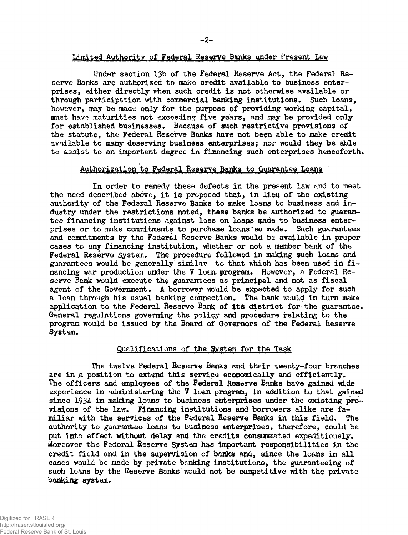**Under section 13b of the Federal Reserve Act, the Federal Reserve Banks are authorized to make credit available to business enterprises, either directly when such credit is not otherwise available or through participation with commercial banking institutions. Such loans, however, may be made only for the purpose of providing working capital, must have maturities not exceeding five yoars, and may be provided only for established businesses. Because of such restrictive provisions of the statute, the Federal Reserve Banks have not been able to make credit available to many deserving business enterprises; nor would they be able to assist to an important degree in financing such enterprises henceforth.**

# Authorization to Federal Reserve Banks to Guarantee Loans

**In order to remedy these defects in the present law and to meet the need described above, it is proposed that, in lieu of the existing authority of the Federal Reserve Banks to make loans to business and industry under the restrictions noted, these banks be authorized to guarantee financing institutions against loss on loans made to business enterprises or to make commitments to purchase loans'so made. Such guarantees and commitments by the Federal Reserve Banks would be available in proper cases to any financing institution, whether or not a member bank of the Federal Reserve System. The procedure followed in making such loans and guarantees would be generally similar to that which has been used in financing. war production under the V loan program. However, a Federal Reserve Bank would execute the guarantees as principal and not as fiscal agent of the Government. A borrower would be expected to apply for such a loan through his usual banking connection. The bank would in turn make application to the Federal Reserve Bank of its district for the guarantee. General regulations governing the poliçy and procedure relating to the program would be issued by the Board of Governors of the Federal Reserve System.**

## **Qualifications of the Sv3tea for the Task**

**The twelve Federal Reserve Banks and their twenty-four branches** are in a position to extend this service economically and efficiently. **The officers and employees of the Federal Reserve Banks have gained wide experience in administering the V loan program, in addition to that gained since 1934 in making loans to business enterprises under the existing provisions of the law. Financing institutions and borrowers alike are familiar with the services of the Federal Reserve Banks in this field. The authority to guarantee loans to business enterprises, therefore, could be put into effect without delay and the credits consummated expeditiously. Moreover the Federal Reserve System has important responsibilities in the credit field and in the supervision of banks and, since the loans in all cases would be made by private banking institutions, the guaranteeing of such loans by the Reserve Banks'would not be competitive with the private banking system.**